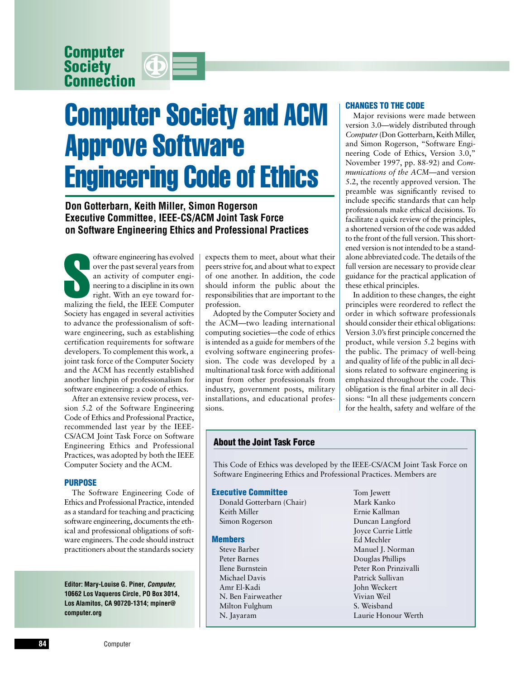**Computer Society Connection**



# Computer Society and ACM Approve Software Engineering Code of Ethics

**Don Gotterbarn, Keith Miller, Simon Rogerson Executive Committee, IEEE-CS/ACM Joint Task Force on Software Engineering Ethics and Professional Practices**

oftware engineering has evolved<br>
over the past several years from<br>
an activity of computer engi-<br>
neering to a discipline in its own<br>
right. With an eye toward for-<br>
malizing the field, the IEEE Computer oftware engineering has evolved over the past several years from an activity of computer engineering to a discipline in its own right. With an eye toward for-Society has engaged in several activities to advance the professionalism of software engineering, such as establishing certification requirements for software developers. To complement this work, a joint task force of the Computer Society and the ACM has recently established another linchpin of professionalism for software engineering: a code of ethics.

After an extensive review process, version 5.2 of the Software Engineering Code of Ethics and Professional Practice, recommended last year by the IEEE-CS/ACM Joint Task Force on Software Engineering Ethics and Professional Practices, was adopted by both the IEEE Computer Society and the ACM.

#### **PURPOSE**

The Software Engineering Code of Ethics and Professional Practice, intended as a standard for teaching and practicing software engineering, documents the ethical and professional obligations of software engineers. The code should instruct practitioners about the standards society

**Editor: Mary-Louise G. Piner,** *Computer,* **10662 Los Vaqueros Circle, PO Box 3014, Los Alamitos, CA 90720-1314; mpiner@ computer.org**

expects them to meet, about what their peers strive for, and about what to expect of one another. In addition, the code should inform the public about the responsibilities that are important to the profession.

Adopted by the Computer Society and the ACM—two leading international computing societies—the code of ethics is intended as a guide for members of the evolving software engineering profession. The code was developed by a multinational task force with additional input from other professionals from industry, government posts, military installations, and educational professions.

# **CHANGES TO THE CODE**

Major revisions were made between version 3.0—widely distributed through *Computer*(Don Gotterbarn, Keith Miller, and Simon Rogerson, "Software Engineering Code of Ethics, Version 3.0," November 1997, pp. 88-92) and *Communications of the ACM*—and version 5.2, the recently approved version. The preamble was significantly revised to include specific standards that can help professionals make ethical decisions. To facilitate a quick review of the principles, a shortened version of the code was added to the front of the full version. This shortened version is not intended to be a standalone abbreviated code. The details of the full version are necessary to provide clear guidance for the practical application of these ethical principles.

In addition to these changes, the eight principles were reordered to reflect the order in which software professionals should consider their ethical obligations: Version 3.0's first principle concerned the product, while version 5.2 begins with the public. The primacy of well-being and quality of life of the public in all decisions related to software engineering is emphasized throughout the code. This obligation is the final arbiter in all decisions: "In all these judgements concern for the health, safety and welfare of the

# **About the Joint Task Force**

This Code of Ethics was developed by the IEEE-CS/ACM Joint Task Force on Software Engineering Ethics and Professional Practices. Members are

#### **Executive Committee**

Donald Gotterbarn (Chair) Keith Miller Simon Rogerson

### **Members**

Steve Barber Peter Barnes Ilene Burnstein Michael Davis Amr El-Kadi N. Ben Fairweather Milton Fulghum N. Jayaram

Tom Jewett Mark Kanko Ernie Kallman Duncan Langford Joyce Currie Little Ed Mechler Manuel J. Norman Douglas Phillips Peter Ron Prinzivalli Patrick Sullivan John Weckert Vivian Weil S. Weisband Laurie Honour Werth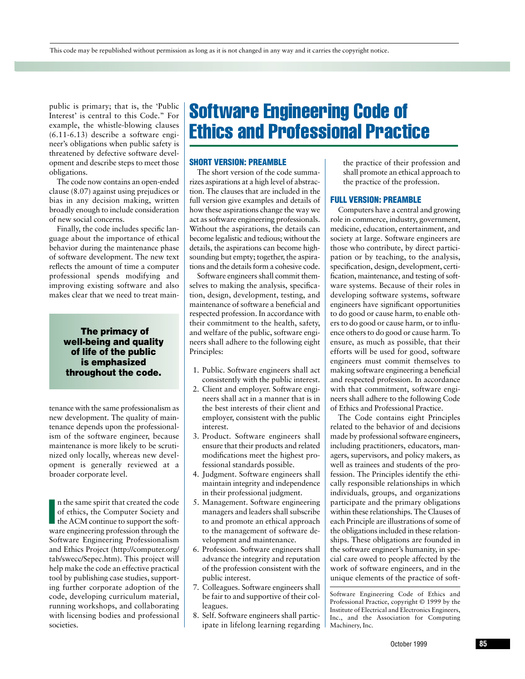public is primary; that is, the 'Public Interest' is central to this Code." For example, the whistle-blowing clauses (6.11-6.13) describe a software engineer's obligations when public safety is threatened by defective software development and describe steps to meet those obligations.

The code now contains an open-ended clause (8.07) against using prejudices or bias in any decision making, written broadly enough to include consideration of new social concerns.

Finally, the code includes specific language about the importance of ethical behavior during the maintenance phase of software development. The new text reflects the amount of time a computer professional spends modifying and improving existing software and also makes clear that we need to treat main-

# **The primacy of well-being and quality of life of the public is emphasized throughout the code.**

tenance with the same professionalism as new development. The quality of maintenance depends upon the professionalism of the software engineer, because maintenance is more likely to be scrutinized only locally, whereas new development is generally reviewed at a broader corporate level.

**International Contract** n the same spirit that created the code of ethics, the Computer Society and the ACM continue to support the software engineering profession through the Software Engineering Professionalism and Ethics Project (http://computer.org/ tab/swecc/Sepec.htm). This project will help make the code an effective practical tool by publishing case studies, supporting further corporate adoption of the code, developing curriculum material, running workshops, and collaborating with licensing bodies and professional societies.

# Software Engineering Code of Ethics and Professional Practice

# **SHORT VERSION: PREAMBLE**

The short version of the code summarizes aspirations at a high level of abstraction. The clauses that are included in the full version give examples and details of how these aspirations change the way we act as software engineering professionals. Without the aspirations, the details can become legalistic and tedious; without the details, the aspirations can become highsounding but empty; together, the aspirations and the details form a cohesive code.

Software engineers shall commit themselves to making the analysis, specification, design, development, testing, and maintenance of software a beneficial and respected profession. In accordance with their commitment to the health, safety, and welfare of the public, software engineers shall adhere to the following eight Principles:

- 1. Public. Software engineers shall act consistently with the public interest.
- 2. Client and employer. Software engineers shall act in a manner that is in the best interests of their client and employer, consistent with the public interest.
- 3. Product. Software engineers shall ensure that their products and related modifications meet the highest professional standards possible.
- 4. Judgment. Software engineers shall maintain integrity and independence in their professional judgment.
- 5. Management. Software engineering managers and leaders shall subscribe to and promote an ethical approach to the management of software development and maintenance.
- 6. Profession. Software engineers shall advance the integrity and reputation of the profession consistent with the public interest.
- 7. Colleagues. Software engineers shall be fair to and supportive of their colleagues.
- 8. Self. Software engineers shall participate in lifelong learning regarding

the practice of their profession and shall promote an ethical approach to the practice of the profession.

### **FULL VERSION: PREAMBLE**

Computers have a central and growing role in commerce, industry, government, medicine, education, entertainment, and society at large. Software engineers are those who contribute, by direct participation or by teaching, to the analysis, specification, design, development, certification, maintenance, and testing of software systems. Because of their roles in developing software systems, software engineers have significant opportunities to do good or cause harm, to enable others to do good or cause harm, or to influence others to do good or cause harm. To ensure, as much as possible, that their efforts will be used for good, software engineers must commit themselves to making software engineering a beneficial and respected profession. In accordance with that commitment, software engineers shall adhere to the following Code of Ethics and Professional Practice.

The Code contains eight Principles related to the behavior of and decisions made by professional software engineers, including practitioners, educators, managers, supervisors, and policy makers, as well as trainees and students of the profession. The Principles identify the ethically responsible relationships in which individuals, groups, and organizations participate and the primary obligations within these relationships. The Clauses of each Principle are illustrations of some of the obligations included in these relationships. These obligations are founded in the software engineer's humanity, in special care owed to people affected by the work of software engineers, and in the unique elements of the practice of soft-

Software Engineering Code of Ethics and Professional Practice, copyright © 1999 by the Institute of Electrical and Electronics Engineers, Inc., and the Association for Computing Machinery, Inc.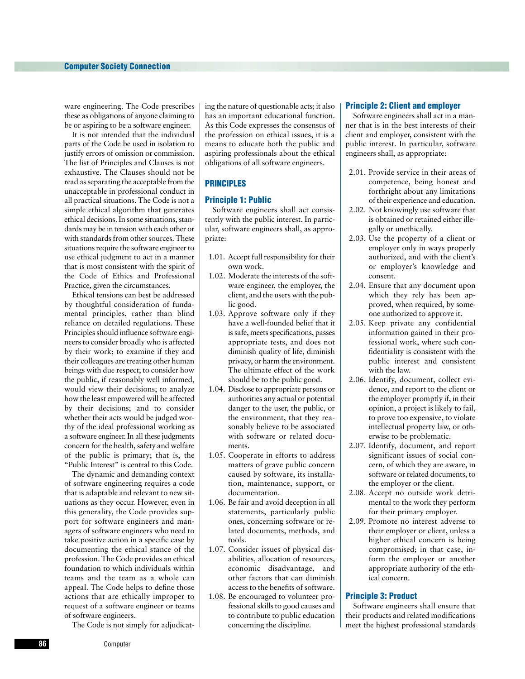ware engineering. The Code prescribes these as obligations of anyone claiming to be or aspiring to be a software engineer.

It is not intended that the individual parts of the Code be used in isolation to justify errors of omission or commission. The list of Principles and Clauses is not exhaustive. The Clauses should not be read as separating the acceptable from the unacceptable in professional conduct in all practical situations. The Code is not a simple ethical algorithm that generates ethical decisions. In some situations, standards may be in tension with each other or with standards from other sources. These situations require the software engineer to use ethical judgment to act in a manner that is most consistent with the spirit of the Code of Ethics and Professional Practice, given the circumstances.

Ethical tensions can best be addressed by thoughtful consideration of fundamental principles, rather than blind reliance on detailed regulations. These Principles should influence software engineers to consider broadly who is affected by their work; to examine if they and their colleagues are treating other human beings with due respect; to consider how the public, if reasonably well informed, would view their decisions; to analyze how the least empowered will be affected by their decisions; and to consider whether their acts would be judged worthy of the ideal professional working as a software engineer. In all these judgments concern for the health, safety and welfare of the public is primary; that is, the "Public Interest" is central to this Code.

The dynamic and demanding context of software engineering requires a code that is adaptable and relevant to new situations as they occur. However, even in this generality, the Code provides support for software engineers and managers of software engineers who need to take positive action in a specific case by documenting the ethical stance of the profession. The Code provides an ethical foundation to which individuals within teams and the team as a whole can appeal. The Code helps to define those actions that are ethically improper to request of a software engineer or teams of software engineers.

The Code is not simply for adjudicat-

ing the nature of questionable acts; it also has an important educational function. As this Code expresses the consensus of the profession on ethical issues, it is a means to educate both the public and aspiring professionals about the ethical obligations of all software engineers.

# **PRINCIPLES**

# **Principle 1: Public**

Software engineers shall act consistently with the public interest. In particular, software engineers shall, as appropriate:

- 1.01. Accept full responsibility for their own work.
- 1.02. Moderate the interests of the software engineer, the employer, the client, and the users with the public good.
- 1.03. Approve software only if they have a well-founded belief that it is safe, meets specifications, passes appropriate tests, and does not diminish quality of life, diminish privacy, or harm the environment. The ultimate effect of the work should be to the public good.
- 1.04. Disclose to appropriate persons or authorities any actual or potential danger to the user, the public, or the environment, that they reasonably believe to be associated with software or related documents.
- 1.05. Cooperate in efforts to address matters of grave public concern caused by software, its installation, maintenance, support, or documentation.
- 1.06. Be fair and avoid deception in all statements, particularly public ones, concerning software or related documents, methods, and tools.
- 1.07. Consider issues of physical disabilities, allocation of resources, economic disadvantage, and other factors that can diminish access to the benefits of software.
- 1.08. Be encouraged to volunteer professional skills to good causes and to contribute to public education concerning the discipline.

#### **Principle 2: Client and employer**

Software engineers shall act in a manner that is in the best interests of their client and employer, consistent with the public interest. In particular, software engineers shall, as appropriate:

- 2.01. Provide service in their areas of competence, being honest and forthright about any limitations of their experience and education.
- 2.02. Not knowingly use software that is obtained or retained either illegally or unethically.
- 2.03. Use the property of a client or employer only in ways properly authorized, and with the client's or employer's knowledge and consent.
- 2.04. Ensure that any document upon which they rely has been approved, when required, by someone authorized to approve it.
- 2.05. Keep private any confidential information gained in their professional work, where such confidentiality is consistent with the public interest and consistent with the law.
- 2.06. Identify, document, collect evidence, and report to the client or the employer promptly if, in their opinion, a project is likely to fail, to prove too expensive, to violate intellectual property law, or otherwise to be problematic.
- 2.07. Identify, document, and report significant issues of social concern, of which they are aware, in software or related documents, to the employer or the client.
- 2.08. Accept no outside work detrimental to the work they perform for their primary employer.
- 2.09. Promote no interest adverse to their employer or client, unless a higher ethical concern is being compromised; in that case, inform the employer or another appropriate authority of the ethical concern.

# **Principle 3: Product**

Software engineers shall ensure that their products and related modifications meet the highest professional standards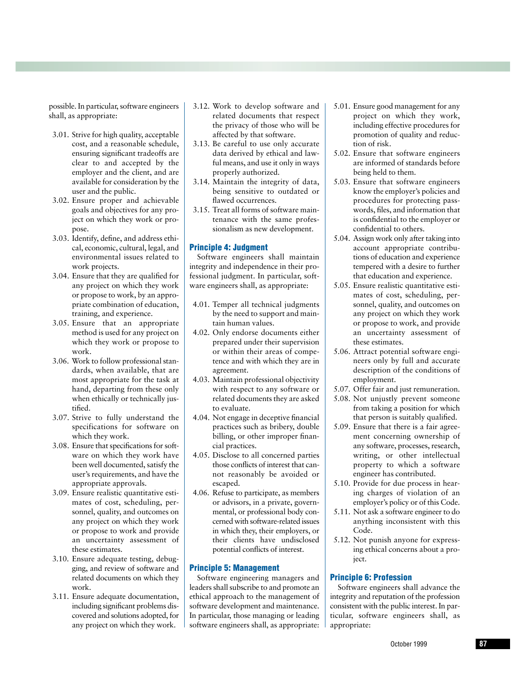possible. In particular, software engineers shall, as appropriate:

- 3.01. Strive for high quality, acceptable cost, and a reasonable schedule, ensuring significant tradeoffs are clear to and accepted by the employer and the client, and are available for consideration by the user and the public.
- 3.02. Ensure proper and achievable goals and objectives for any project on which they work or propose.
- 3.03. Identify, define, and address ethical, economic, cultural, legal, and environmental issues related to work projects.
- 3.04. Ensure that they are qualified for any project on which they work or propose to work, by an appropriate combination of education, training, and experience.
- 3.05. Ensure that an appropriate method is used for any project on which they work or propose to work.
- 3.06. Work to follow professional standards, when available, that are most appropriate for the task at hand, departing from these only when ethically or technically justified.
- 3.07. Strive to fully understand the specifications for software on which they work.
- 3.08. Ensure that specifications for software on which they work have been well documented, satisfy the user's requirements, and have the appropriate approvals.
- 3.09. Ensure realistic quantitative estimates of cost, scheduling, personnel, quality, and outcomes on any project on which they work or propose to work and provide an uncertainty assessment of these estimates.
- 3.10. Ensure adequate testing, debugging, and review of software and related documents on which they work.
- 3.11. Ensure adequate documentation, including significant problems discovered and solutions adopted, for any project on which they work.
- 3.12. Work to develop software and related documents that respect the privacy of those who will be affected by that software.
- 3.13. Be careful to use only accurate data derived by ethical and lawful means, and use it only in ways properly authorized.
- 3.14. Maintain the integrity of data, being sensitive to outdated or flawed occurrences.
- 3.15. Treat all forms of software maintenance with the same professionalism as new development.

# **Principle 4: Judgment**

Software engineers shall maintain integrity and independence in their professional judgment. In particular, software engineers shall, as appropriate:

- 4.01. Temper all technical judgments by the need to support and maintain human values.
- 4.02. Only endorse documents either prepared under their supervision or within their areas of competence and with which they are in agreement.
- 4.03. Maintain professional objectivity with respect to any software or related documents they are asked to evaluate.
- 4.04. Not engage in deceptive financial practices such as bribery, double billing, or other improper financial practices.
- 4.05. Disclose to all concerned parties those conflicts of interest that cannot reasonably be avoided or escaped.
- 4.06. Refuse to participate, as members or advisors, in a private, governmental, or professional body concerned with software-related issues in which they, their employers, or their clients have undisclosed potential conflicts of interest.

# **Principle 5: Management**

Software engineering managers and leaders shall subscribe to and promote an ethical approach to the management of software development and maintenance. In particular, those managing or leading software engineers shall, as appropriate:

- 5.01. Ensure good management for any project on which they work, including effective procedures for promotion of quality and reduction of risk.
- 5.02. Ensure that software engineers are informed of standards before being held to them.
- 5.03. Ensure that software engineers know the employer's policies and procedures for protecting passwords, files, and information that is confidential to the employer or confidential to others.
- 5.04. Assign work only after taking into account appropriate contributions of education and experience tempered with a desire to further that education and experience.
- 5.05. Ensure realistic quantitative estimates of cost, scheduling, personnel, quality, and outcomes on any project on which they work or propose to work, and provide an uncertainty assessment of these estimates.
- 5.06. Attract potential software engineers only by full and accurate description of the conditions of employment.
- 5.07. Offer fair and just remuneration.
- 5.08. Not unjustly prevent someone from taking a position for which that person is suitably qualified.
- 5.09. Ensure that there is a fair agreement concerning ownership of any software, processes, research, writing, or other intellectual property to which a software engineer has contributed.
- 5.10. Provide for due process in hearing charges of violation of an employer's policy or of this Code.
- 5.11. Not ask a software engineer to do anything inconsistent with this Code.
- 5.12. Not punish anyone for expressing ethical concerns about a project.

# **Principle 6: Profession**

Software engineers shall advance the integrity and reputation of the profession consistent with the public interest. In particular, software engineers shall, as appropriate: